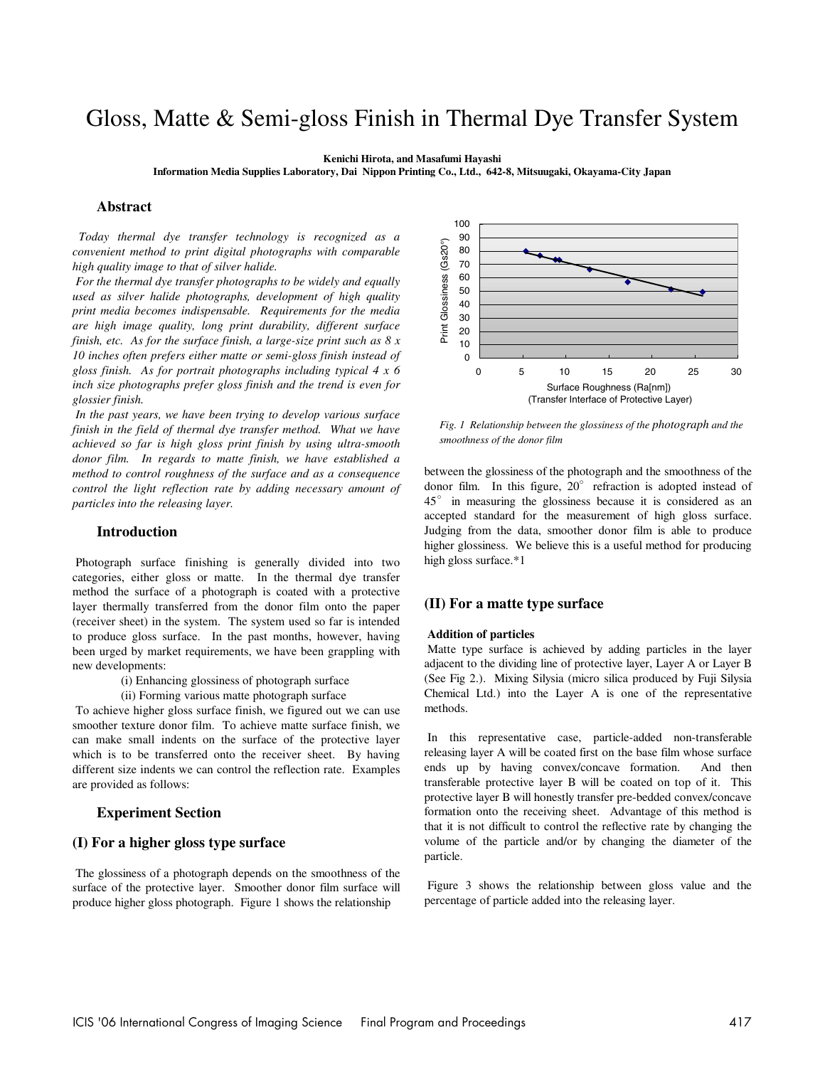# Gloss, Matte & Semi-gloss Finish in Thermal Dye Transfer System

**Kenichi Hirota, and Masafumi Hayashi** 

**Information Media Supplies Laboratory, Dai Nippon Printing Co., Ltd., 642-8, Mitsuugaki, Okayama-City Japan**

## **Abstract**

 *Today thermal dye transfer technology is recognized as a convenient method to print digital photographs with comparable high quality image to that of silver halide.* 

 *For the thermal dye transfer photographs to be widely and equally used as silver halide photographs, development of high quality print media becomes indispensable. Requirements for the media are high image quality, long print durability, different surface finish, etc. As for the surface finish, a large-size print such as 8 x 10 inches often prefers either matte or semi-gloss finish instead of gloss finish. As for portrait photographs including typical 4 x 6 inch size photographs prefer gloss finish and the trend is even for glossier finish.* 

 *In the past years, we have been trying to develop various surface*  finish in the field of thermal dye transfer method. What we have *achieved so far is high gloss print finish by using ultra-smooth donor film. In regards to matte finish, we have established a method to control roughness of the surface and as a consequence control the light reflection rate by adding necessary amount of particles into the releasing layer.* 

## **Introduction**

 Photograph surface finishing is generally divided into two categories, either gloss or matte. In the thermal dye transfer method the surface of a photograph is coated with a protective layer thermally transferred from the donor film onto the paper (receiver sheet) in the system. The system used so far is intended to produce gloss surface. In the past months, however, having been urged by market requirements, we have been grappling with new developments:

- (i) Enhancing glossiness of photograph surface
- (ii) Forming various matte photograph surface

 To achieve higher gloss surface finish, we figured out we can use smoother texture donor film. To achieve matte surface finish, we can make small indents on the surface of the protective layer which is to be transferred onto the receiver sheet. By having different size indents we can control the reflection rate. Examples are provided as follows:

### **Experiment Section**

# **(I) For a higher gloss type surface**

 The glossiness of a photograph depends on the smoothness of the surface of the protective layer. Smoother donor film surface will produce higher gloss photograph. Figure 1 shows the relationship



*Fig. 1 Relationship between the glossiness of the photograph and the smoothness of the donor film*

between the glossiness of the photograph and the smoothness of the donor film. In this figure,  $20^\circ$  refraction is adopted instead of 45° in measuring the glossiness because it is considered as an accepted standard for the measurement of high gloss surface. Judging from the data, smoother donor film is able to produce higher glossiness. We believe this is a useful method for producing high gloss surface.\*1

#### **(II) For a matte type surface**

#### **Addition of particles**

 Matte type surface is achieved by adding particles in the layer adjacent to the dividing line of protective layer, Layer A or Layer B (See Fig 2.). Mixing Silysia (micro silica produced by Fuji Silysia Chemical Ltd.) into the Layer A is one of the representative methods.

 In this representative case, particle-added non-transferable releasing layer A will be coated first on the base film whose surface ends up by having convex/concave formation. And then transferable protective layer B will be coated on top of it. This protective layer B will honestly transfer pre-bedded convex/concave formation onto the receiving sheet. Advantage of this method is that it is not difficult to control the reflective rate by changing the volume of the particle and/or by changing the diameter of the particle.

 Figure 3 shows the relationship between gloss value and the percentage of particle added into the releasing layer.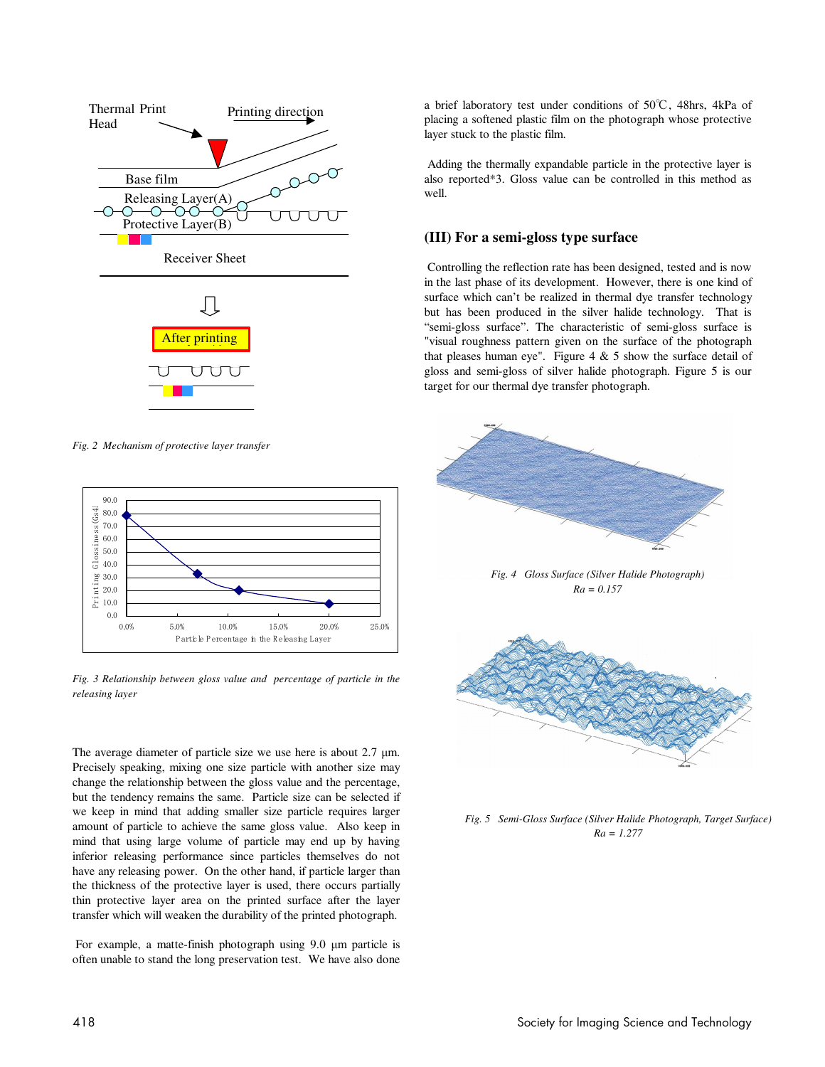

*Fig. 2 Mechanism of protective layer transfer* 



*Fig. 3 Relationship between gloss value and percentage of particle in the releasing layer*

The average diameter of particle size we use here is about 2.7  $\mu$ m. Precisely speaking, mixing one size particle with another size may change the relationship between the gloss value and the percentage, but the tendency remains the same. Particle size can be selected if we keep in mind that adding smaller size particle requires larger amount of particle to achieve the same gloss value. Also keep in mind that using large volume of particle may end up by having inferior releasing performance since particles themselves do not have any releasing power. On the other hand, if particle larger than the thickness of the protective layer is used, there occurs partially thin protective layer area on the printed surface after the layer transfer which will weaken the durability of the printed photograph.

 For example, a matte-finish photograph using 9.0 µm particle is often unable to stand the long preservation test. We have also done a brief laboratory test under conditions of 50℃, 48hrs, 4kPa of placing a softened plastic film on the photograph whose protective layer stuck to the plastic film.

 Adding the thermally expandable particle in the protective layer is also reported\*3. Gloss value can be controlled in this method as well.

# **(III) For a semi-gloss type surface**

 Controlling the reflection rate has been designed, tested and is now in the last phase of its development. However, there is one kind of surface which can't be realized in thermal dye transfer technology but has been produced in the silver halide technology. That is "semi-gloss surface". The characteristic of semi-gloss surface is "visual roughness pattern given on the surface of the photograph that pleases human eye". Figure  $4 \& 5$  show the surface detail of gloss and semi-gloss of silver halide photograph. Figure 5 is our target for our thermal dye transfer photograph.



*Fig. 4 Gloss Surface (Silver Halide Photograph) Ra = 0.157*



*Fig. 5 Semi-Gloss Surface (Silver Halide Photograph, Target Surface) Ra = 1.277*